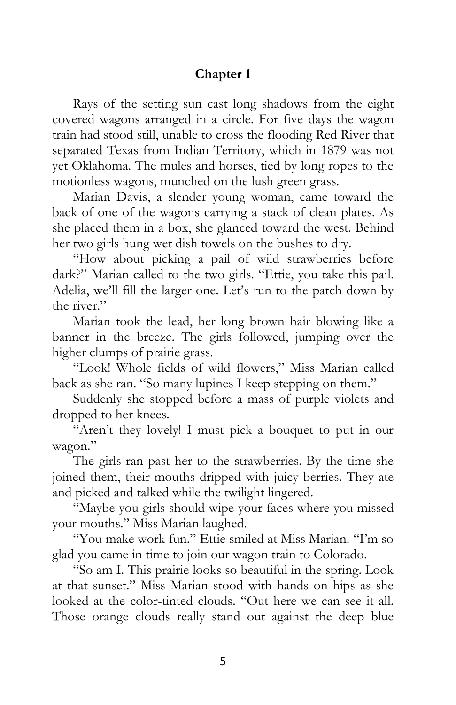## **Chapter 1**

Rays of the setting sun cast long shadows from the eight covered wagons arranged in a circle. For five days the wagon train had stood still, unable to cross the flooding Red River that separated Texas from Indian Territory, which in 1879 was not yet Oklahoma. The mules and horses, tied by long ropes to the motionless wagons, munched on the lush green grass.

Marian Davis, a slender young woman, came toward the back of one of the wagons carrying a stack of clean plates. As she placed them in a box, she glanced toward the west. Behind her two girls hung wet dish towels on the bushes to dry.

"How about picking a pail of wild strawberries before dark?" Marian called to the two girls. "Ettie, you take this pail. Adelia, we'll fill the larger one. Let's run to the patch down by the river."

Marian took the lead, her long brown hair blowing like a banner in the breeze. The girls followed, jumping over the higher clumps of prairie grass.

"Look! Whole fields of wild flowers," Miss Marian called back as she ran. "So many lupines I keep stepping on them."

Suddenly she stopped before a mass of purple violets and dropped to her knees.

"Aren't they lovely! I must pick a bouquet to put in our wagon."

The girls ran past her to the strawberries. By the time she joined them, their mouths dripped with juicy berries. They ate and picked and talked while the twilight lingered.

"Maybe you girls should wipe your faces where you missed your mouths." Miss Marian laughed.

"You make work fun." Ettie smiled at Miss Marian. "I'm so glad you came in time to join our wagon train to Colorado.

"So am I. This prairie looks so beautiful in the spring. Look at that sunset." Miss Marian stood with hands on hips as she looked at the color-tinted clouds. "Out here we can see it all. Those orange clouds really stand out against the deep blue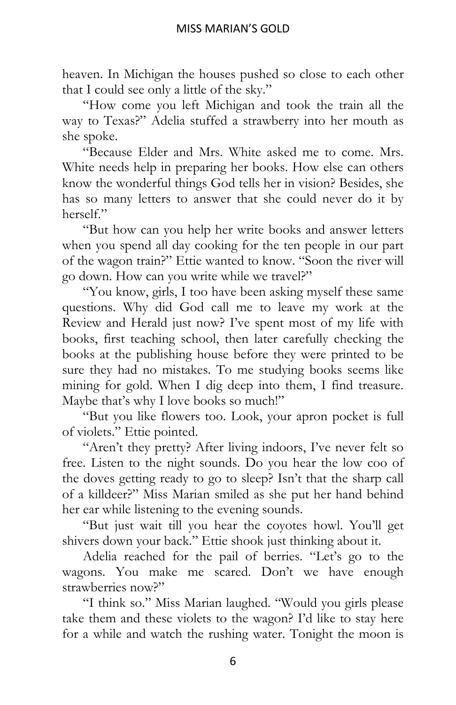heaven. In Michigan the houses pushed so close to each other that I could see only a little of the sky."

"How come you left Michigan and took the train all the way to Texas?" Adelia stuffed a strawberry into her mouth as she spoke.

"Because Elder and Mrs. White asked me to come. Mrs. White needs help in preparing her books. How else can others know the wonderful things God tells her in vision? Besides, she has so many letters to answer that she could never do it by herself."

"But how can you help her write books and answer letters when you spend all day cooking for the ten people in our part of the wagon train?" Ettie wanted to know. "Soon the river will go down. How can you write while we travel?"

"You know, girls, I too have been asking myself these same questions. Why did God call me to leave my work at the Review and Herald just now? I've spent most of my life with books, first teaching school, then later carefully checking the books at the publishing house before they were printed to be sure they had no mistakes. To me studying books seems like mining for gold. When I dig deep into them, I find treasure. Maybe that's why I love books so much!"

"But you like flowers too. Look, your apron pocket is full of violets." Ettie pointed.

"Aren't they pretty? After living indoors, I've never felt so free. Listen to the night sounds. Do you hear the low coo of the doves getting ready to go to sleep? Isn't that the sharp call of a killdeer?" Miss Marian smiled as she put her hand behind her ear while listening to the evening sounds.

"But just wait till you hear the coyotes howl. You'll get shivers down your back." Ettie shook just thinking about it.

Adelia reached for the pail of berries. "Let's go to the wagons. You make me scared. Don't we have enough strawberries now?"

"I think so." Miss Marian laughed. "Would you girls please take them and these violets to the wagon? I'd like to stay here for a while and watch the rushing water. Tonight the moon is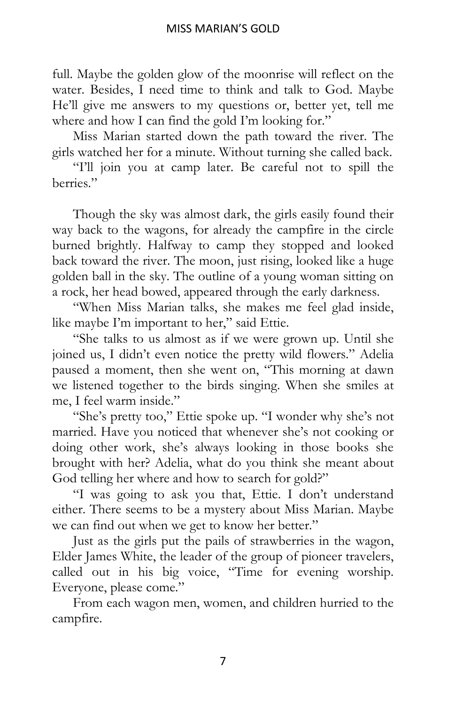full. Maybe the golden glow of the moonrise will reflect on the water. Besides, I need time to think and talk to God. Maybe He'll give me answers to my questions or, better yet, tell me where and how I can find the gold I'm looking for."

Miss Marian started down the path toward the river. The girls watched her for a minute. Without turning she called back.

"I'll join you at camp later. Be careful not to spill the berries."

Though the sky was almost dark, the girls easily found their way back to the wagons, for already the campfire in the circle burned brightly. Halfway to camp they stopped and looked back toward the river. The moon, just rising, looked like a huge golden ball in the sky. The outline of a young woman sitting on a rock, her head bowed, appeared through the early darkness.

"When Miss Marian talks, she makes me feel glad inside, like maybe I'm important to her," said Ettie.

"She talks to us almost as if we were grown up. Until she joined us, I didn't even notice the pretty wild flowers." Adelia paused a moment, then she went on, "This morning at dawn we listened together to the birds singing. When she smiles at me, I feel warm inside."

"She's pretty too," Ettie spoke up. "I wonder why she's not married. Have you noticed that whenever she's not cooking or doing other work, she's always looking in those books she brought with her? Adelia, what do you think she meant about God telling her where and how to search for gold?"

"I was going to ask you that, Ettie. I don't understand either. There seems to be a mystery about Miss Marian. Maybe we can find out when we get to know her better."

Just as the girls put the pails of strawberries in the wagon, Elder James White, the leader of the group of pioneer travelers, called out in his big voice, "Time for evening worship. Everyone, please come."

From each wagon men, women, and children hurried to the campfire.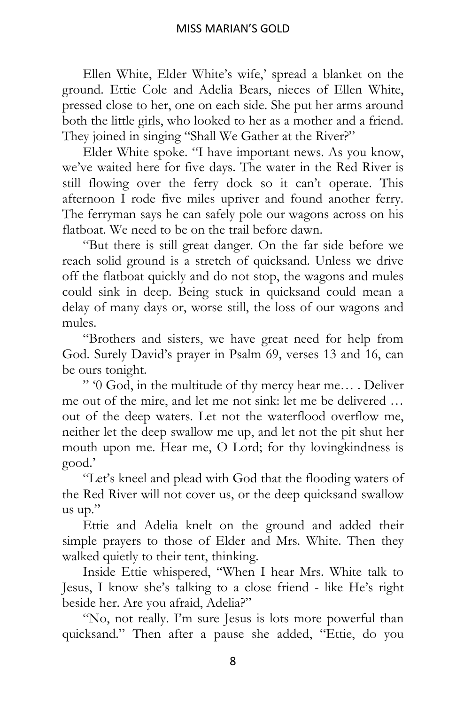Ellen White, Elder White's wife,' spread a blanket on the ground. Ettie Cole and Adelia Bears, nieces of Ellen White, pressed close to her, one on each side. She put her arms around both the little girls, who looked to her as a mother and a friend. They joined in singing "Shall We Gather at the River?"

Elder White spoke. "I have important news. As you know, we've waited here for five days. The water in the Red River is still flowing over the ferry dock so it can't operate. This afternoon I rode five miles upriver and found another ferry. The ferryman says he can safely pole our wagons across on his flatboat. We need to be on the trail before dawn.

"But there is still great danger. On the far side before we reach solid ground is a stretch of quicksand. Unless we drive off the flatboat quickly and do not stop, the wagons and mules could sink in deep. Being stuck in quicksand could mean a delay of many days or, worse still, the loss of our wagons and mules.

"Brothers and sisters, we have great need for help from God. Surely David's prayer in Psalm 69, verses 13 and 16, can be ours tonight.

" '0 God, in the multitude of thy mercy hear me… . Deliver me out of the mire, and let me not sink: let me be delivered … out of the deep waters. Let not the waterflood overflow me, neither let the deep swallow me up, and let not the pit shut her mouth upon me. Hear me, O Lord; for thy lovingkindness is good.'

"Let's kneel and plead with God that the flooding waters of the Red River will not cover us, or the deep quicksand swallow us up."

Ettie and Adelia knelt on the ground and added their simple prayers to those of Elder and Mrs. White. Then they walked quietly to their tent, thinking.

Inside Ettie whispered, "When I hear Mrs. White talk to Jesus, I know she's talking to a close friend - like He's right beside her. Are you afraid, Adelia?"

"No, not really. I'm sure Jesus is lots more powerful than quicksand." Then after a pause she added, "Ettie, do you